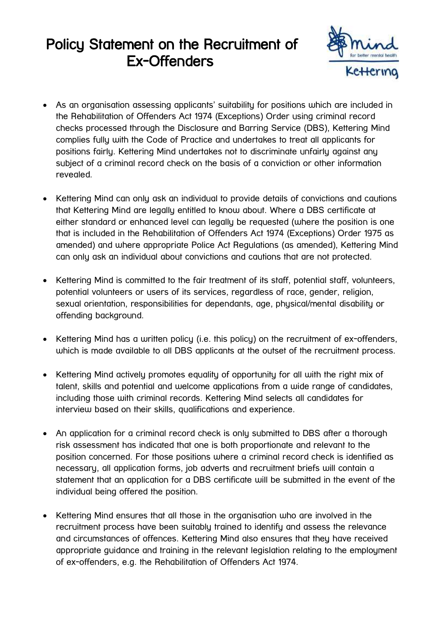## Policy Statement on the Recruitment of Ex-Offenders



- As an organisation assessing applicants' suitability for positions which are included in the Rehabilitation of Offenders Act 1974 (Exceptions) Order using criminal record checks processed through the Disclosure and Barring Service (DBS), Kettering Mind complies fully with the Code of Practice and undertakes to treat all applicants for positions fairly. Kettering Mind undertakes not to discriminate unfairly against any subject of a criminal record check on the basis of a conviction or other information revealed.
- Kettering Mind can only ask an individual to provide details of convictions and cautions that Kettering Mind are legally entitled to know about. Where a DBS certificate at either standard or enhanced level can legally be requested (where the position is one that is included in the Rehabilitation of Offenders Act 1974 (Exceptions) Order 1975 as amended) and where appropriate Police Act Regulations (as amended), Kettering Mind can only ask an individual about convictions and cautions that are not protected.
- Kettering Mind is committed to the fair treatment of its staff, potential staff, volunteers, potential volunteers or users of its services, regardless of race, gender, religion, sexual orientation, responsibilities for dependants, age, physical/mental disability or offending background.
- Kettering Mind has a written policy (i.e. this policy) on the recruitment of ex-offenders, which is made available to all DBS applicants at the outset of the recruitment process.
- Kettering Mind actively promotes equality of opportunity for all with the right mix of talent, skills and potential and welcome applications from a wide range of candidates, including those with criminal records. Kettering Mind selects all candidates for interview based on their skills, qualifications and experience.
- An application for a criminal record check is only submitted to DBS after a thorough risk assessment has indicated that one is both proportionate and relevant to the position concerned. For those positions where a criminal record check is identified as necessary, all application forms, job adverts and recruitment briefs will contain a statement that an application for a DBS certificate will be submitted in the event of the individual being offered the position.
- Kettering Mind ensures that all those in the organisation who are involved in the recruitment process have been suitably trained to identify and assess the relevance and circumstances of offences. Kettering Mind also ensures that they have received appropriate guidance and training in the relevant legislation relating to the employment of ex-offenders, e.g. the Rehabilitation of Offenders Act 1974.